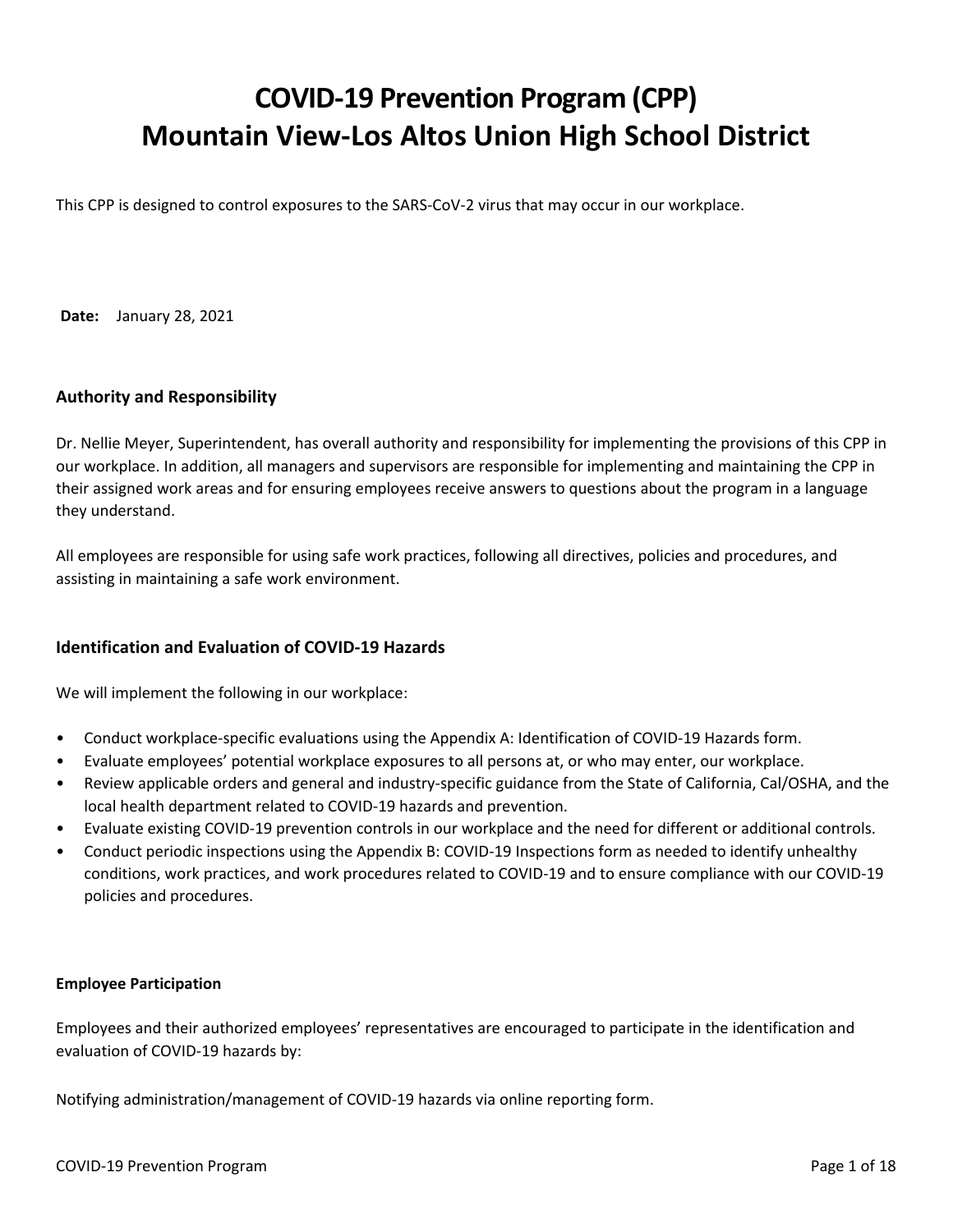# **COVID-19 Prevention Program (CPP) Mountain View-Los Altos Union High School District**

This CPP is designed to control exposures to the SARS-CoV-2 virus that may occur in our workplace.

**Date:** January 28, 2021

# **Authority and Responsibility**

Dr. Nellie Meyer, Superintendent, has overall authority and responsibility for implementing the provisions of this CPP in our workplace. In addition, all managers and supervisors are responsible for implementing and maintaining the CPP in their assigned work areas and for ensuring employees receive answers to questions about the program in a language they understand.

All employees are responsible for using safe work practices, following all directives, policies and procedures, and assisting in maintaining a safe work environment.

# **Identification and Evaluation of COVID-19 Hazards**

We will implement the following in our workplace:

- Conduct workplace-specific evaluations using the Appendix A: Identification of COVID-19 Hazards form.
- Evaluate employees' potential workplace exposures to all persons at, or who may enter, our workplace.
- Review applicable orders and general and industry-specific guidance from the State of California, Cal/OSHA, and the local health department related to COVID-19 hazards and prevention.
- Evaluate existing COVID-19 prevention controls in our workplace and the need for different or additional controls.
- Conduct periodic inspections using the Appendix B: COVID-19 Inspections form as needed to identify unhealthy conditions, work practices, and work procedures related to COVID-19 and to ensure compliance with our COVID-19 policies and procedures.

### **Employee Participation**

Employees and their authorized employees' representatives are encouraged to participate in the identification and evaluation of COVID-19 hazards by:

Notifying administration/management of COVID-19 hazards via online reporting form.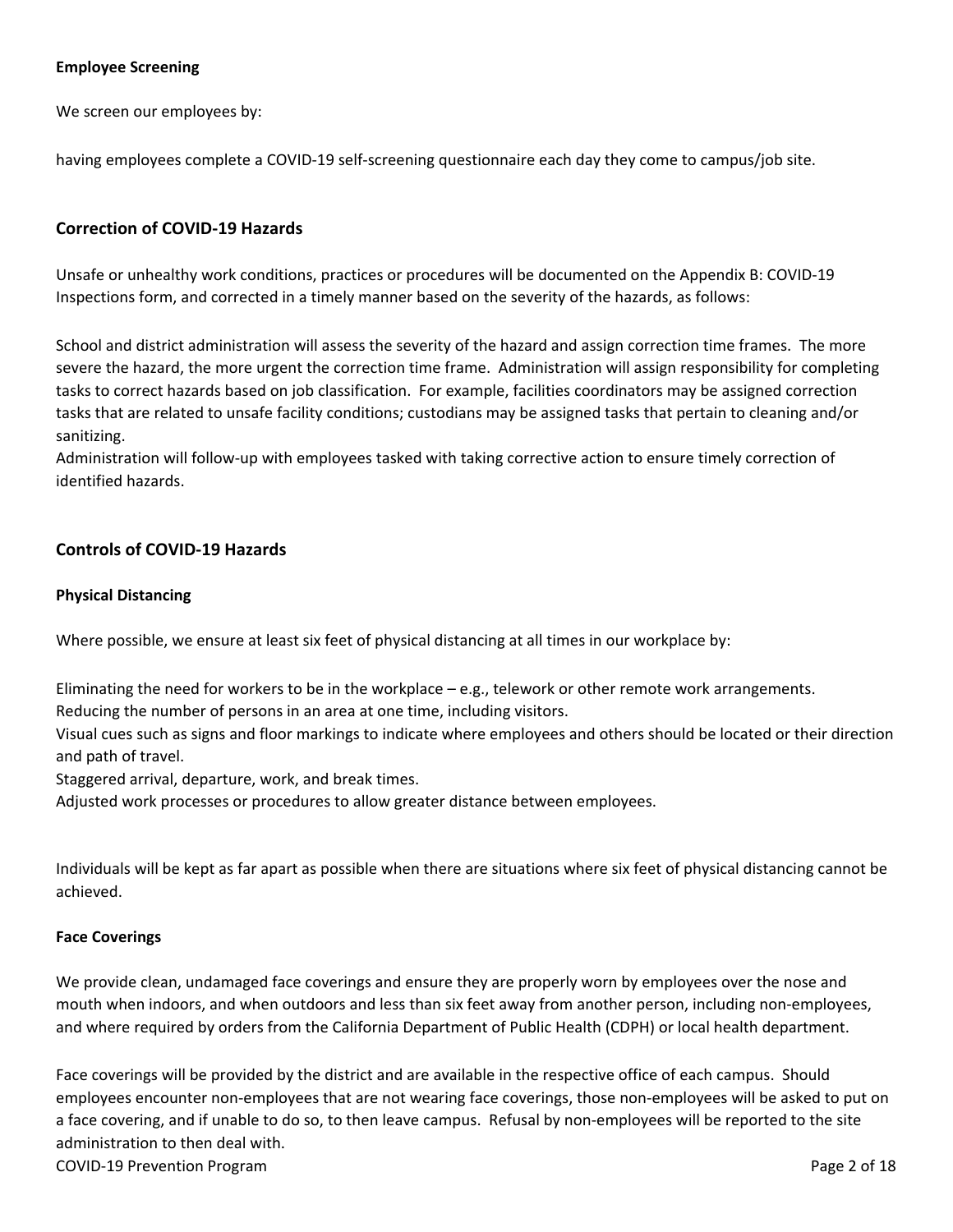# **Employee Screening**

We screen our employees by:

having employees complete a COVID-19 self-screening questionnaire each day they come to campus/job site.

# **Correction of COVID-19 Hazards**

Unsafe or unhealthy work conditions, practices or procedures will be documented on the Appendix B: COVID-19 Inspections form, and corrected in a timely manner based on the severity of the hazards, as follows:

School and district administration will assess the severity of the hazard and assign correction time frames. The more severe the hazard, the more urgent the correction time frame. Administration will assign responsibility for completing tasks to correct hazards based on job classification. For example, facilities coordinators may be assigned correction tasks that are related to unsafe facility conditions; custodians may be assigned tasks that pertain to cleaning and/or sanitizing.

Administration will follow-up with employees tasked with taking corrective action to ensure timely correction of identified hazards.

### **Controls of COVID-19 Hazards**

#### **Physical Distancing**

Where possible, we ensure at least six feet of physical distancing at all times in our workplace by:

Eliminating the need for workers to be in the workplace – e.g., telework or other remote work arrangements. Reducing the number of persons in an area at one time, including visitors.

Visual cues such as signs and floor markings to indicate where employees and others should be located or their direction and path of travel.

Staggered arrival, departure, work, and break times.

Adjusted work processes or procedures to allow greater distance between employees.

Individuals will be kept as far apart as possible when there are situations where six feet of physical distancing cannot be achieved.

#### **Face Coverings**

We provide clean, undamaged face coverings and ensure they are properly worn by employees over the nose and mouth when indoors, and when outdoors and less than six feet away from another person, including non-employees, and where required by orders from the California Department of Public Health (CDPH) or local health department.

Face coverings will be provided by the district and are available in the respective office of each campus. Should employees encounter non-employees that are not wearing face coverings, those non-employees will be asked to put on a face covering, and if unable to do so, to then leave campus. Refusal by non-employees will be reported to the site administration to then deal with.

COVID-19 Prevention Program **Page 2 of 18** and the covid-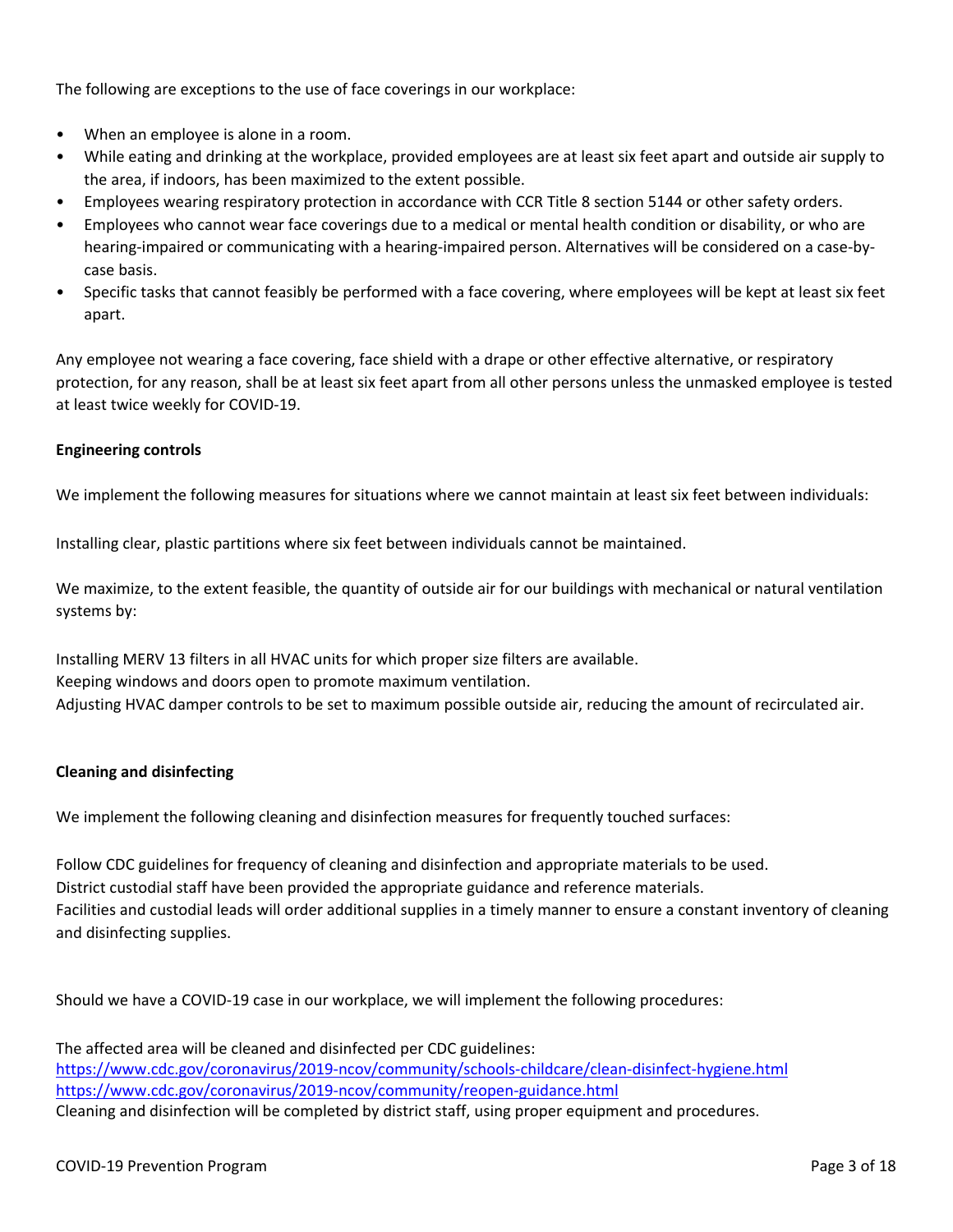The following are exceptions to the use of face coverings in our workplace:

- When an employee is alone in a room.
- While eating and drinking at the workplace, provided employees are at least six feet apart and outside air supply to the area, if indoors, has been maximized to the extent possible.
- Employees wearing respiratory protection in accordance with CCR Title 8 section 5144 or other safety orders.
- Employees who cannot wear face coverings due to a medical or mental health condition or disability, or who are hearing-impaired or communicating with a hearing-impaired person. Alternatives will be considered on a case-bycase basis.
- Specific tasks that cannot feasibly be performed with a face covering, where employees will be kept at least six feet apart.

Any employee not wearing a face covering, face shield with a drape or other effective alternative, or respiratory protection, for any reason, shall be at least six feet apart from all other persons unless the unmasked employee is tested at least twice weekly for COVID-19.

# **Engineering controls**

We implement the following measures for situations where we cannot maintain at least six feet between individuals:

Installing clear, plastic partitions where six feet between individuals cannot be maintained.

We maximize, to the extent feasible, the quantity of outside air for our buildings with mechanical or natural ventilation systems by:

Installing MERV 13 filters in all HVAC units for which proper size filters are available. Keeping windows and doors open to promote maximum ventilation. Adjusting HVAC damper controls to be set to maximum possible outside air, reducing the amount of recirculated air.

### **Cleaning and disinfecting**

We implement the following cleaning and disinfection measures for frequently touched surfaces:

Follow CDC guidelines for frequency of cleaning and disinfection and appropriate materials to be used. District custodial staff have been provided the appropriate guidance and reference materials. Facilities and custodial leads will order additional supplies in a timely manner to ensure a constant inventory of cleaning and disinfecting supplies.

Should we have a COVID-19 case in our workplace, we will implement the following procedures:

The affected area will be cleaned and disinfected per CDC guidelines: <https://www.cdc.gov/coronavirus/2019-ncov/community/schools-childcare/clean-disinfect-hygiene.html> <https://www.cdc.gov/coronavirus/2019-ncov/community/reopen-guidance.html> Cleaning and disinfection will be completed by district staff, using proper equipment and procedures.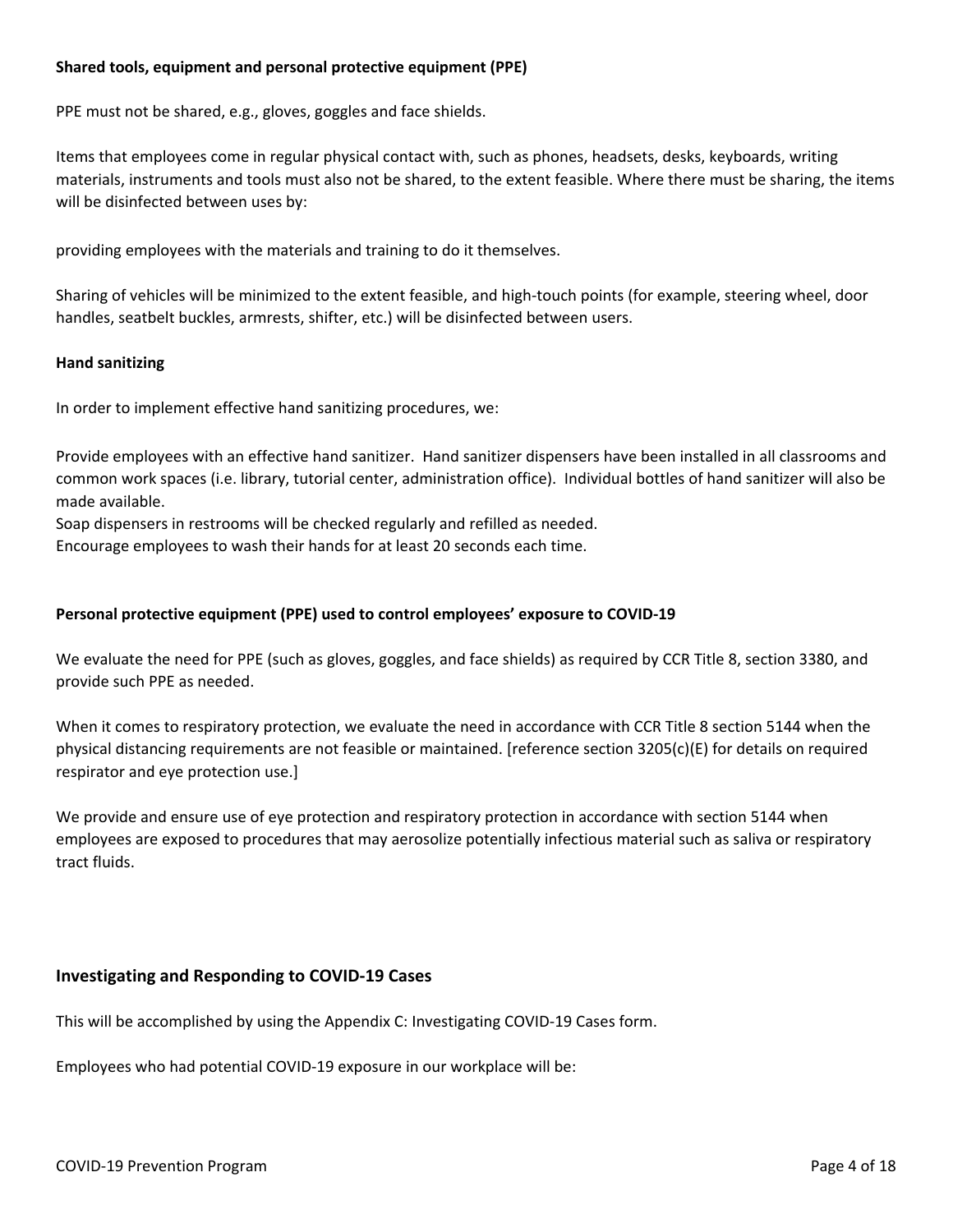## **Shared tools, equipment and personal protective equipment (PPE)**

PPE must not be shared, e.g., gloves, goggles and face shields.

Items that employees come in regular physical contact with, such as phones, headsets, desks, keyboards, writing materials, instruments and tools must also not be shared, to the extent feasible. Where there must be sharing, the items will be disinfected between uses by:

providing employees with the materials and training to do it themselves.

Sharing of vehicles will be minimized to the extent feasible, and high-touch points (for example, steering wheel, door handles, seatbelt buckles, armrests, shifter, etc.) will be disinfected between users.

### **Hand sanitizing**

In order to implement effective hand sanitizing procedures, we:

Provide employees with an effective hand sanitizer. Hand sanitizer dispensers have been installed in all classrooms and common work spaces (i.e. library, tutorial center, administration office). Individual bottles of hand sanitizer will also be made available.

Soap dispensers in restrooms will be checked regularly and refilled as needed.

Encourage employees to wash their hands for at least 20 seconds each time.

## **Personal protective equipment (PPE) used to control employees' exposure to COVID-19**

We evaluate the need for PPE (such as gloves, goggles, and face shields) as required by CCR Title 8, section 3380, and provide such PPE as needed.

When it comes to respiratory protection, we evaluate the need in accordance with CCR Title 8 section 5144 when the physical distancing requirements are not feasible or maintained. [reference section 3205(c)(E) for details on required respirator and eye protection use.]

We provide and ensure use of eye protection and respiratory protection in accordance with section 5144 when employees are exposed to procedures that may aerosolize potentially infectious material such as saliva or respiratory tract fluids.

### **Investigating and Responding to COVID-19 Cases**

This will be accomplished by using the Appendix C: Investigating COVID-19 Cases form.

Employees who had potential COVID-19 exposure in our workplace will be: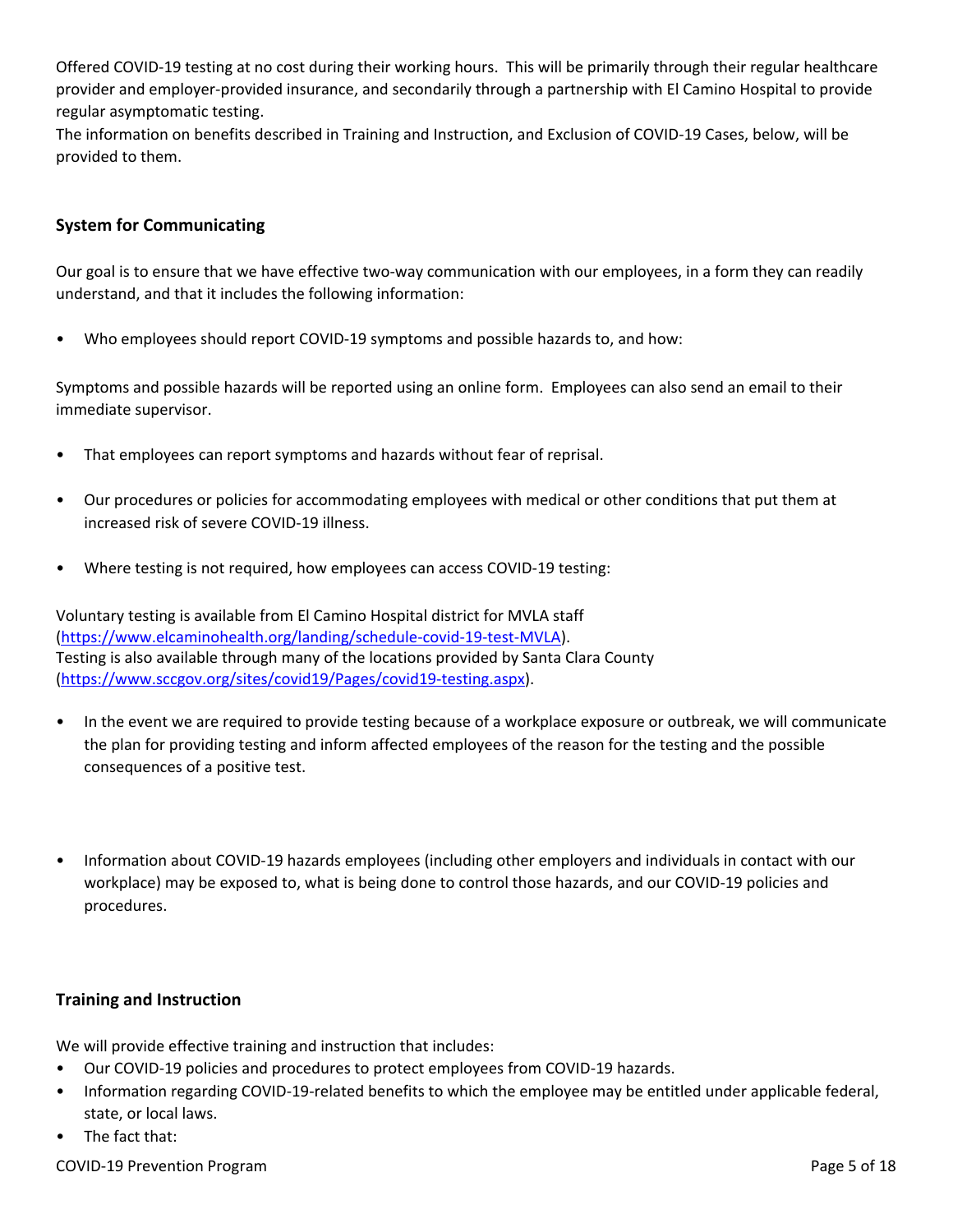Offered COVID-19 testing at no cost during their working hours. This will be primarily through their regular healthcare provider and employer-provided insurance, and secondarily through a partnership with El Camino Hospital to provide regular asymptomatic testing.

The information on benefits described in Training and Instruction, and Exclusion of COVID-19 Cases, below, will be provided to them.

# **System for Communicating**

Our goal is to ensure that we have effective two-way communication with our employees, in a form they can readily understand, and that it includes the following information:

• Who employees should report COVID-19 symptoms and possible hazards to, and how:

Symptoms and possible hazards will be reported using an online form. Employees can also send an email to their immediate supervisor.

- That employees can report symptoms and hazards without fear of reprisal.
- Our procedures or policies for accommodating employees with medical or other conditions that put them at increased risk of severe COVID-19 illness.
- Where testing is not required, how employees can access COVID-19 testing:

Voluntary testing is available from El Camino Hospital district for MVLA staff [\(https://www.elcaminohealth.org/landing/schedule-covid-19-test-MVLA](https://www.elcaminohealth.org/landing/schedule-covid-19-test-MVLA)). Testing is also available through many of the locations provided by Santa Clara County [\(https://www.sccgov.org/sites/covid19/Pages/covid19-testing.aspx](https://www.sccgov.org/sites/covid19/Pages/covid19-testing.aspx)).

- In the event we are required to provide testing because of a workplace exposure or outbreak, we will communicate the plan for providing testing and inform affected employees of the reason for the testing and the possible consequences of a positive test.
- Information about COVID-19 hazards employees (including other employers and individuals in contact with our workplace) may be exposed to, what is being done to control those hazards, and our COVID-19 policies and procedures.

# **Training and Instruction**

We will provide effective training and instruction that includes:

- Our COVID-19 policies and procedures to protect employees from COVID-19 hazards.
- Information regarding COVID-19-related benefits to which the employee may be entitled under applicable federal, state, or local laws.
- The fact that:

COVID-19 Prevention Program **Program** Page 5 of 18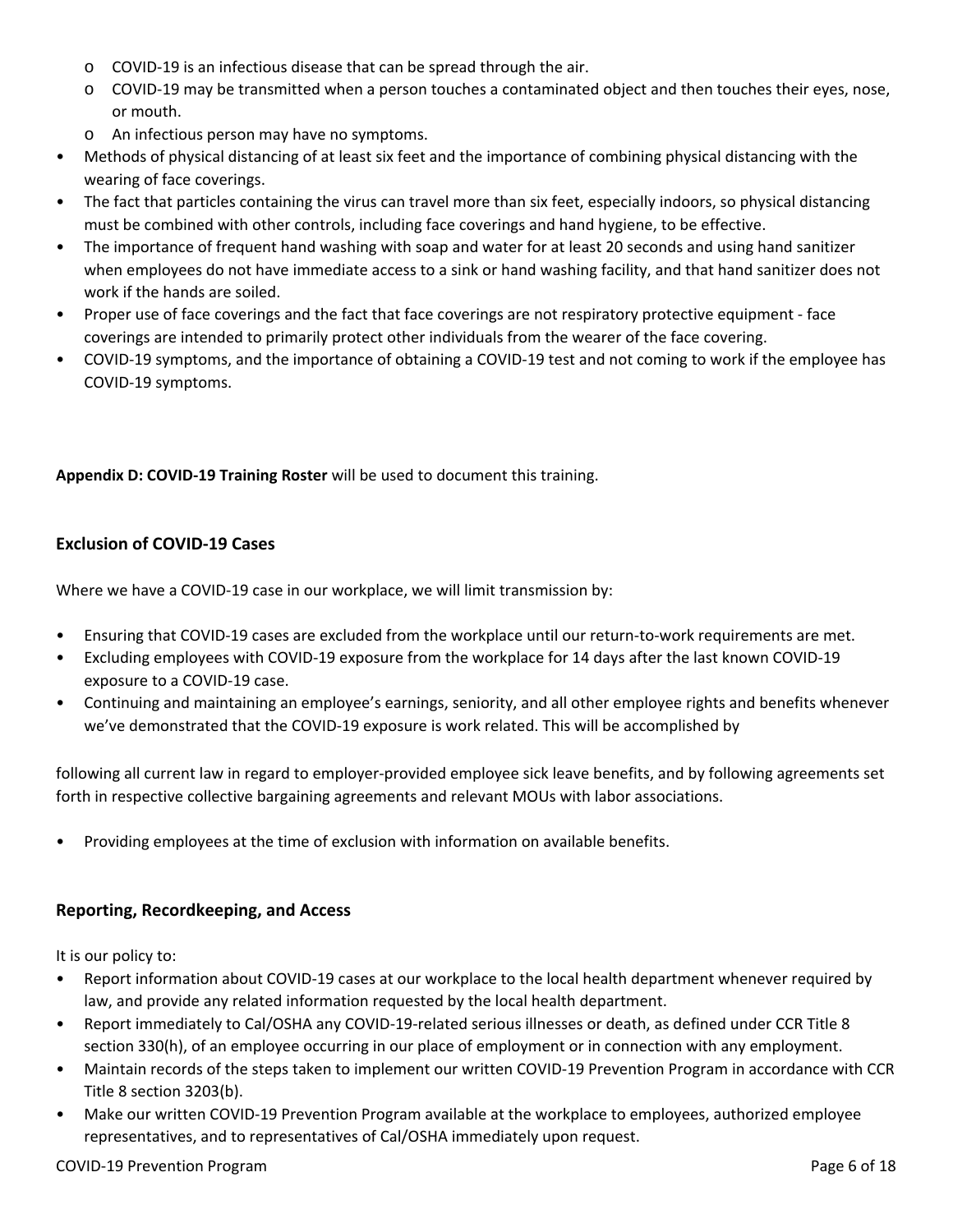- o COVID-19 is an infectious disease that can be spread through the air.
- $\circ$  COVID-19 may be transmitted when a person touches a contaminated object and then touches their eyes, nose, or mouth.
- o An infectious person may have no symptoms.
- Methods of physical distancing of at least six feet and the importance of combining physical distancing with the wearing of face coverings.
- The fact that particles containing the virus can travel more than six feet, especially indoors, so physical distancing must be combined with other controls, including face coverings and hand hygiene, to be effective.
- The importance of frequent hand washing with soap and water for at least 20 seconds and using hand sanitizer when employees do not have immediate access to a sink or hand washing facility, and that hand sanitizer does not work if the hands are soiled.
- Proper use of face coverings and the fact that face coverings are not respiratory protective equipment face coverings are intended to primarily protect other individuals from the wearer of the face covering.
- COVID-19 symptoms, and the importance of obtaining a COVID-19 test and not coming to work if the employee has COVID-19 symptoms.

# **Appendix D: COVID-19 Training Roster** will be used to document this training.

# **Exclusion of COVID-19 Cases**

Where we have a COVID-19 case in our workplace, we will limit transmission by:

- Ensuring that COVID-19 cases are excluded from the workplace until our return-to-work requirements are met.
- Excluding employees with COVID-19 exposure from the workplace for 14 days after the last known COVID-19 exposure to a COVID-19 case.
- Continuing and maintaining an employee's earnings, seniority, and all other employee rights and benefits whenever we've demonstrated that the COVID-19 exposure is work related. This will be accomplished by

following all current law in regard to employer-provided employee sick leave benefits, and by following agreements set forth in respective collective bargaining agreements and relevant MOUs with labor associations.

• Providing employees at the time of exclusion with information on available benefits.

# **Reporting, Recordkeeping, and Access**

It is our policy to:

- Report information about COVID-19 cases at our workplace to the local health department whenever required by law, and provide any related information requested by the local health department.
- Report immediately to Cal/OSHA any COVID-19-related serious illnesses or death, as defined under CCR Title 8 section 330(h), of an employee occurring in our place of employment or in connection with any employment.
- Maintain records of the steps taken to implement our written COVID-19 Prevention Program in accordance with CCR Title 8 section 3203(b).
- Make our written COVID-19 Prevention Program available at the workplace to employees, authorized employee representatives, and to representatives of Cal/OSHA immediately upon request.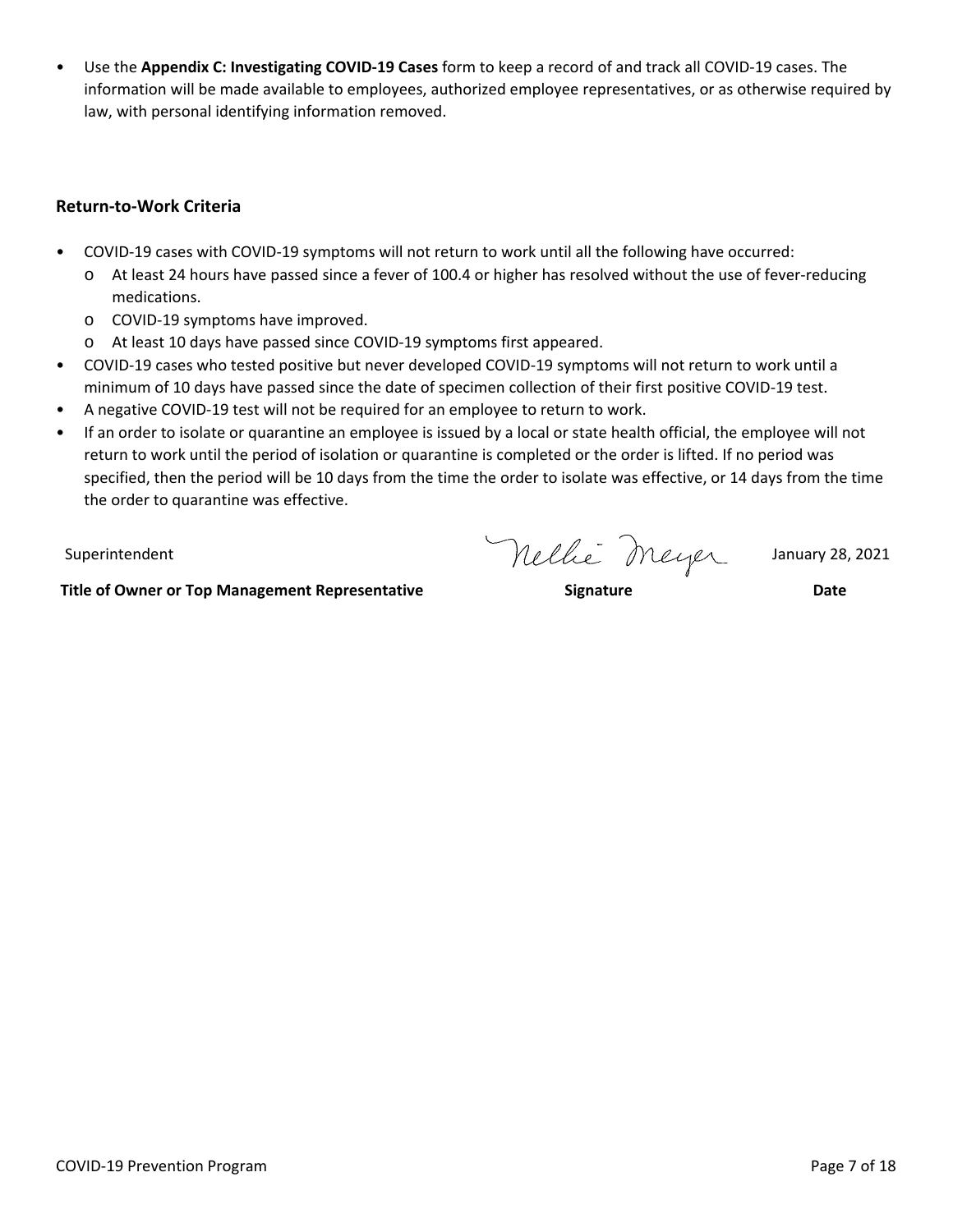• Use the **Appendix C: Investigating COVID-19 Cases** form to keep a record of and track all COVID-19 cases. The information will be made available to employees, authorized employee representatives, or as otherwise required by law, with personal identifying information removed.

# **Return-to-Work Criteria**

- COVID-19 cases with COVID-19 symptoms will not return to work until all the following have occurred:
	- o At least 24 hours have passed since a fever of 100.4 or higher has resolved without the use of fever-reducing medications.
	- o COVID-19 symptoms have improved.
	- o At least 10 days have passed since COVID-19 symptoms first appeared.
- COVID-19 cases who tested positive but never developed COVID-19 symptoms will not return to work until a minimum of 10 days have passed since the date of specimen collection of their first positive COVID-19 test.
- A negative COVID-19 test will not be required for an employee to return to work.
- If an order to isolate or quarantine an employee is issued by a local or state health official, the employee will not return to work until the period of isolation or quarantine is completed or the order is lifted. If no period was specified, then the period will be 10 days from the time the order to isolate was effective, or 14 days from the time the order to quarantine was effective.

Superintendent Mellie Meyer January 28, 2021

**Title of Owner or Top Management Representative Signature Date**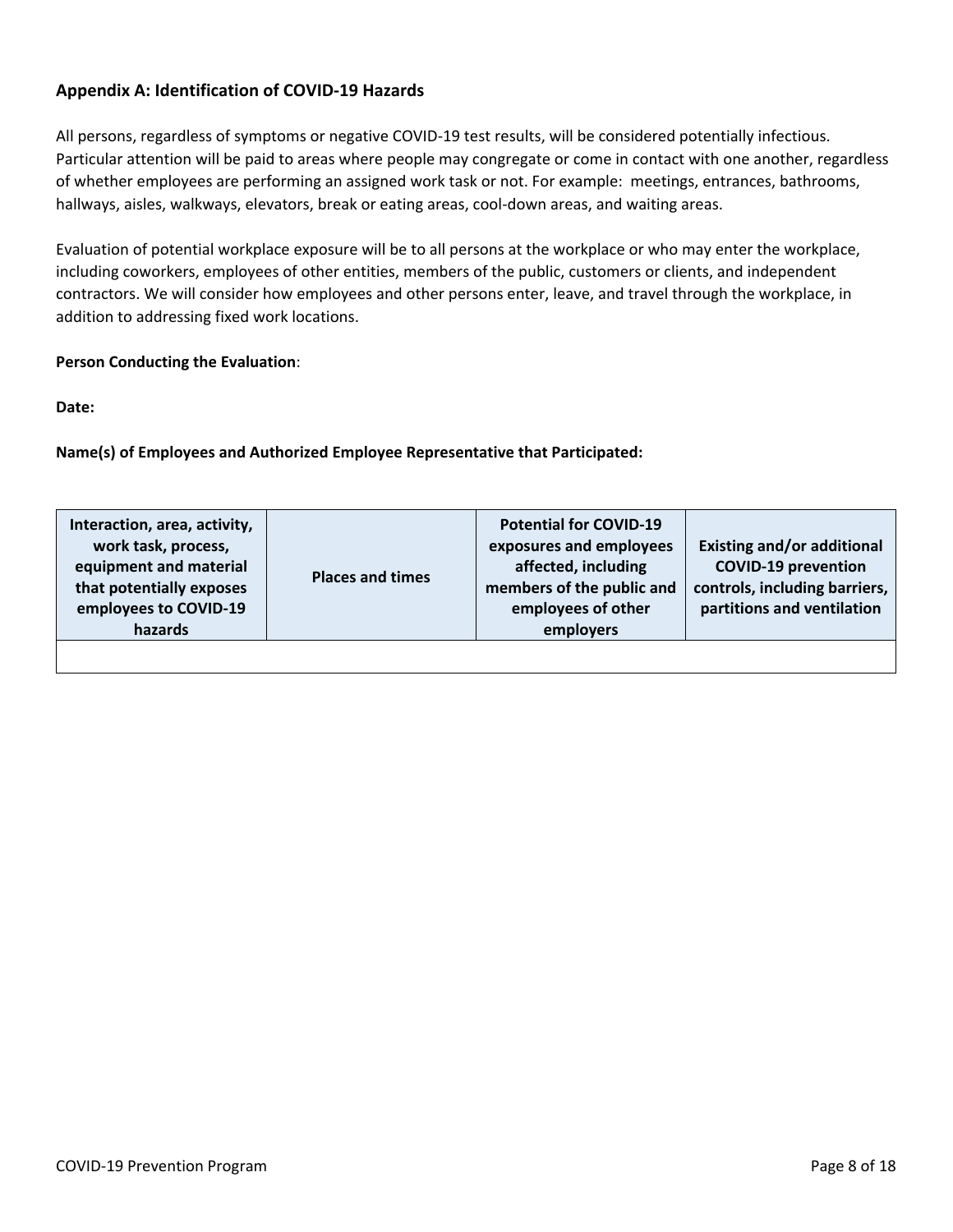# **Appendix A: Identification of COVID-19 Hazards**

All persons, regardless of symptoms or negative COVID-19 test results, will be considered potentially infectious. Particular attention will be paid to areas where people may congregate or come in contact with one another, regardless of whether employees are performing an assigned work task or not. For example: meetings, entrances, bathrooms, hallways, aisles, walkways, elevators, break or eating areas, cool-down areas, and waiting areas.

Evaluation of potential workplace exposure will be to all persons at the workplace or who may enter the workplace, including coworkers, employees of other entities, members of the public, customers or clients, and independent contractors. We will consider how employees and other persons enter, leave, and travel through the workplace, in addition to addressing fixed work locations.

# **Person Conducting the Evaluation**:

**Date:**

**Name(s) of Employees and Authorized Employee Representative that Participated:**

| Interaction, area, activity,<br>work task, process,<br>equipment and material<br>that potentially exposes<br>employees to COVID-19<br>hazards | <b>Places and times</b> | <b>Potential for COVID-19</b><br>exposures and employees<br>affected, including<br>members of the public and<br>employees of other<br>employers | <b>Existing and/or additional</b><br><b>COVID-19 prevention</b><br>controls, including barriers,<br>partitions and ventilation |
|-----------------------------------------------------------------------------------------------------------------------------------------------|-------------------------|-------------------------------------------------------------------------------------------------------------------------------------------------|--------------------------------------------------------------------------------------------------------------------------------|
|                                                                                                                                               |                         |                                                                                                                                                 |                                                                                                                                |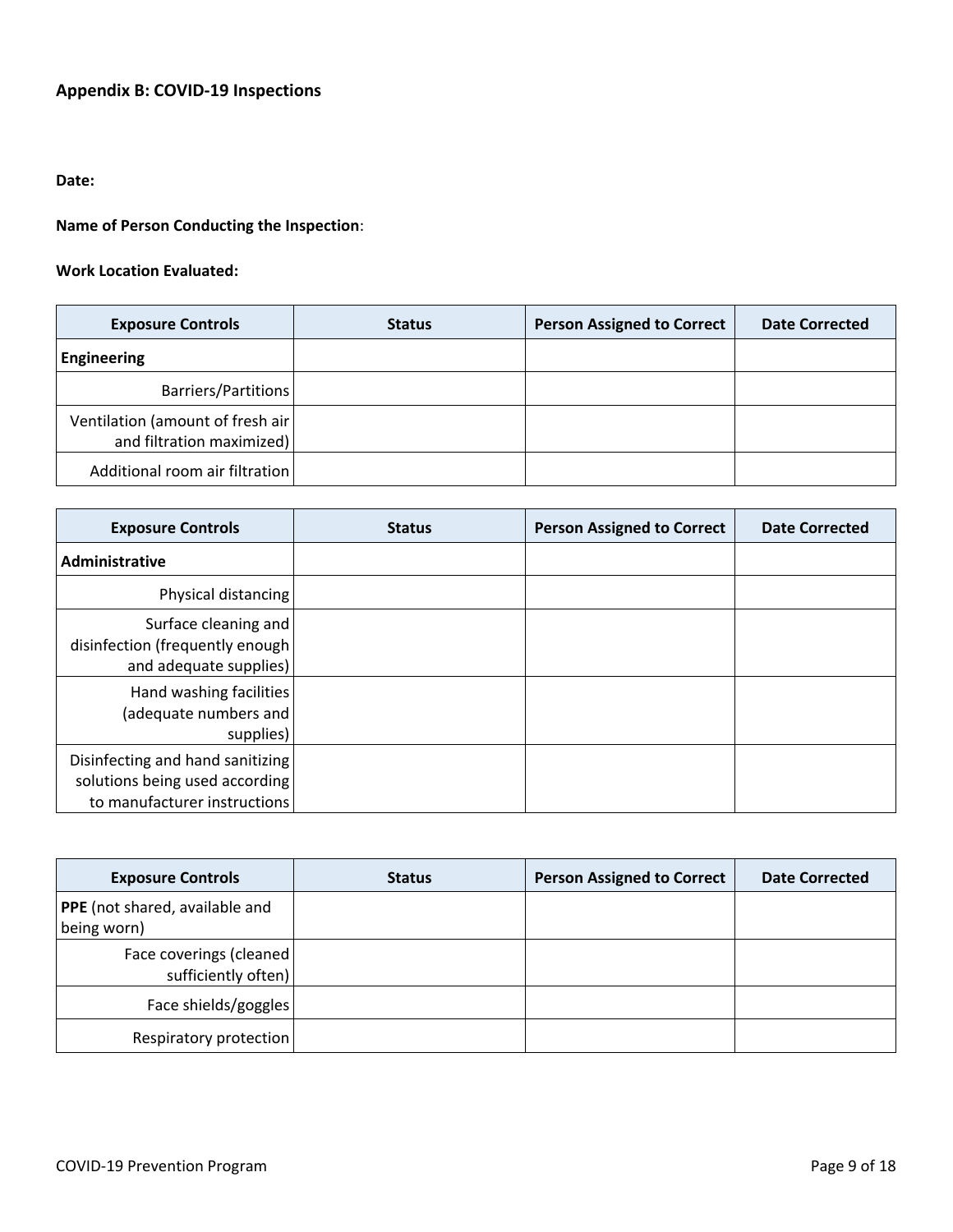# **Appendix B: COVID-19 Inspections**

# **Date:**

# **Name of Person Conducting the Inspection**:

#### **Work Location Evaluated:**

| <b>Exposure Controls</b>                                       | <b>Status</b> | <b>Person Assigned to Correct</b> | <b>Date Corrected</b> |
|----------------------------------------------------------------|---------------|-----------------------------------|-----------------------|
| Engineering                                                    |               |                                   |                       |
| Barriers/Partitions                                            |               |                                   |                       |
| Ventilation (amount of fresh air)<br>and filtration maximized) |               |                                   |                       |
| Additional room air filtration                                 |               |                                   |                       |

| <b>Exposure Controls</b>                                                                           | <b>Status</b> | <b>Person Assigned to Correct</b> | <b>Date Corrected</b> |
|----------------------------------------------------------------------------------------------------|---------------|-----------------------------------|-----------------------|
| Administrative                                                                                     |               |                                   |                       |
| Physical distancing                                                                                |               |                                   |                       |
| Surface cleaning and<br>disinfection (frequently enough<br>and adequate supplies)                  |               |                                   |                       |
| Hand washing facilities<br>(adequate numbers and<br>supplies)                                      |               |                                   |                       |
| Disinfecting and hand sanitizing<br>solutions being used according<br>to manufacturer instructions |               |                                   |                       |

| <b>Exposure Controls</b>                        | <b>Status</b> | <b>Person Assigned to Correct</b> | <b>Date Corrected</b> |
|-------------------------------------------------|---------------|-----------------------------------|-----------------------|
| PPE (not shared, available and<br>being worn)   |               |                                   |                       |
| Face coverings (cleaned)<br>sufficiently often) |               |                                   |                       |
| Face shields/goggles                            |               |                                   |                       |
| Respiratory protection                          |               |                                   |                       |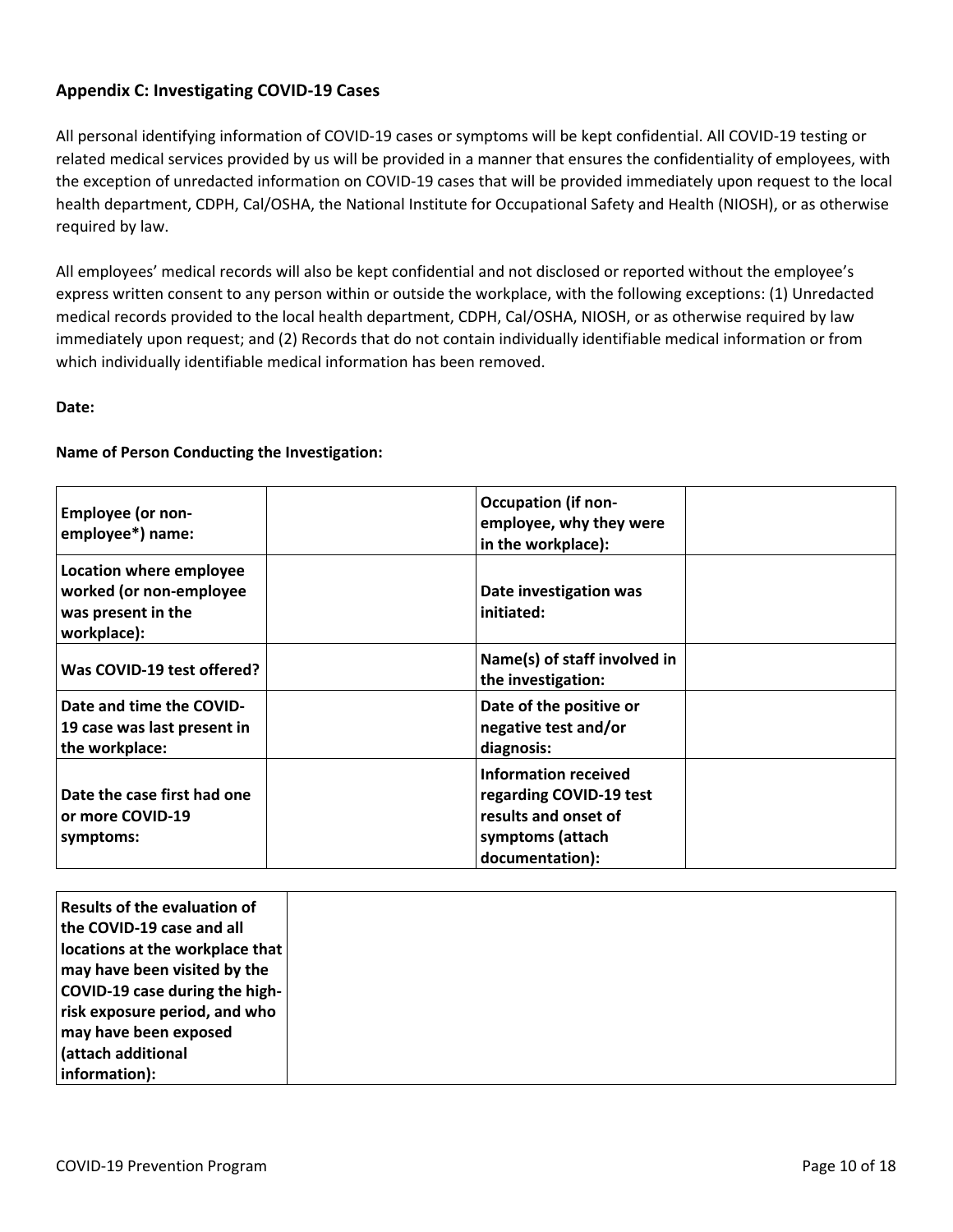# **Appendix C: Investigating COVID-19 Cases**

All personal identifying information of COVID-19 cases or symptoms will be kept confidential. All COVID-19 testing or related medical services provided by us will be provided in a manner that ensures the confidentiality of employees, with the exception of unredacted information on COVID-19 cases that will be provided immediately upon request to the local health department, CDPH, Cal/OSHA, the National Institute for Occupational Safety and Health (NIOSH), or as otherwise required by law.

All employees' medical records will also be kept confidential and not disclosed or reported without the employee's express written consent to any person within or outside the workplace, with the following exceptions: (1) Unredacted medical records provided to the local health department, CDPH, Cal/OSHA, NIOSH, or as otherwise required by law immediately upon request; and (2) Records that do not contain individually identifiable medical information or from which individually identifiable medical information has been removed.

### **Date:**

### **Name of Person Conducting the Investigation:**

| <b>Employee (or non-</b><br>employee*) name:                                            | <b>Occupation (if non-</b><br>employee, why they were<br>in the workplace):                                    |
|-----------------------------------------------------------------------------------------|----------------------------------------------------------------------------------------------------------------|
| Location where employee<br>worked (or non-employee<br>was present in the<br>workplace): | Date investigation was<br>initiated:                                                                           |
| Was COVID-19 test offered?                                                              | Name(s) of staff involved in<br>the investigation:                                                             |
| Date and time the COVID-<br>19 case was last present in<br>the workplace:               | Date of the positive or<br>negative test and/or<br>diagnosis:                                                  |
| Date the case first had one<br>or more COVID-19<br>symptoms:                            | Information received<br>regarding COVID-19 test<br>results and onset of<br>symptoms (attach<br>documentation): |

| Results of the evaluation of    |  |
|---------------------------------|--|
| the COVID-19 case and all       |  |
| locations at the workplace that |  |
| may have been visited by the    |  |
| COVID-19 case during the high-  |  |
| risk exposure period, and who   |  |
| may have been exposed           |  |
| (attach additional              |  |
| information):                   |  |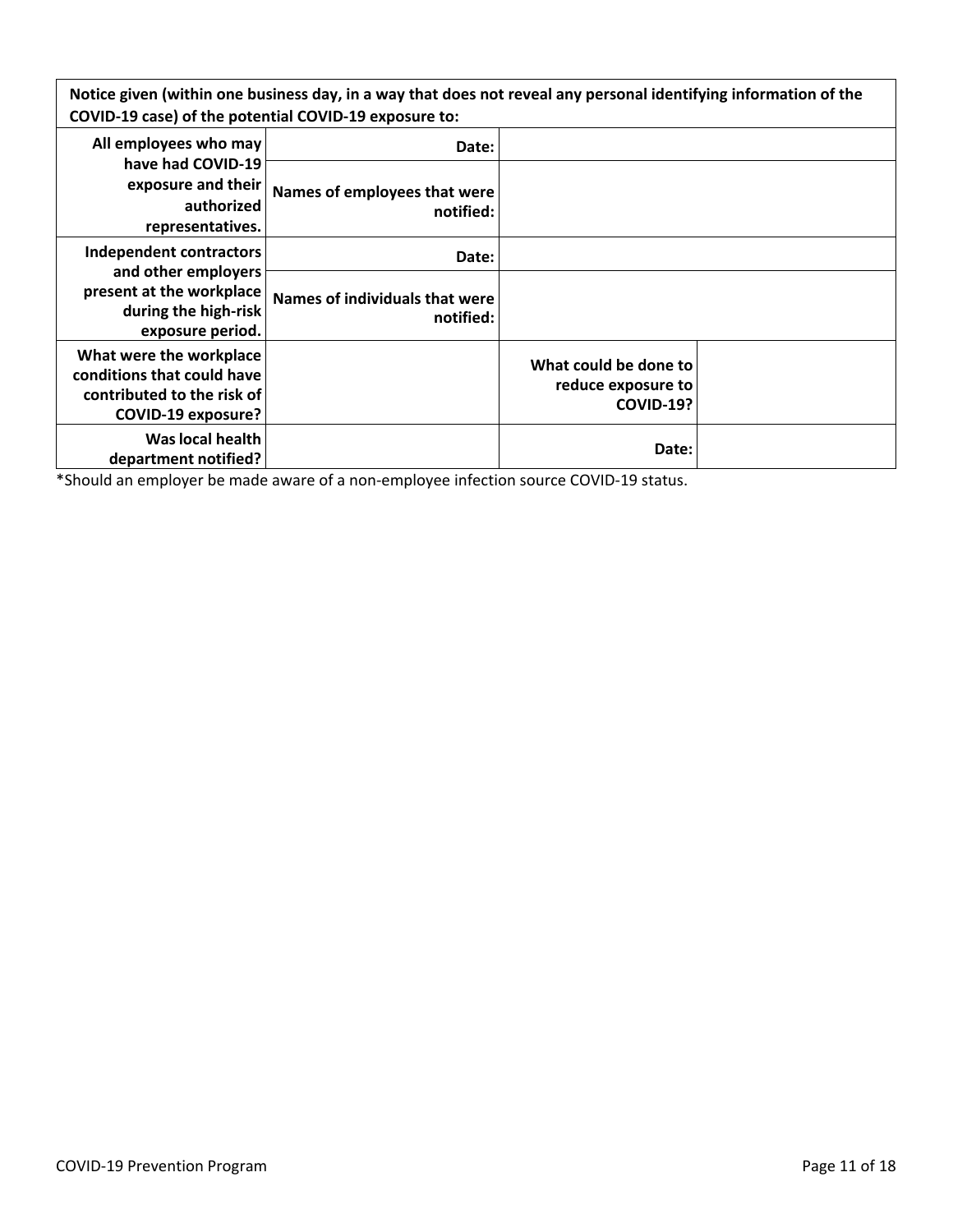Notice given (within one business day, in a way that does not reveal any personal identifying information of the **COVID-19 case) of the potential COVID-19 exposure to:**

| All employees who may                                                                                            | Date:                                       |                                                                 |  |
|------------------------------------------------------------------------------------------------------------------|---------------------------------------------|-----------------------------------------------------------------|--|
| have had COVID-19<br>exposure and their<br>authorized<br>representatives.                                        | Names of employees that were<br>notified:   |                                                                 |  |
| Independent contractors                                                                                          | Date:                                       |                                                                 |  |
| and other employers<br>present at the workplace<br>during the high-risk<br>exposure period.                      | Names of individuals that were<br>notified: |                                                                 |  |
| What were the workplace<br>conditions that could have<br>contributed to the risk of<br><b>COVID-19 exposure?</b> |                                             | What could be done to<br>reduce exposure to<br><b>COVID-19?</b> |  |
| Was local health<br>department notified?                                                                         |                                             | Date:                                                           |  |

\*Should an employer be made aware of a non-employee infection source COVID-19 status.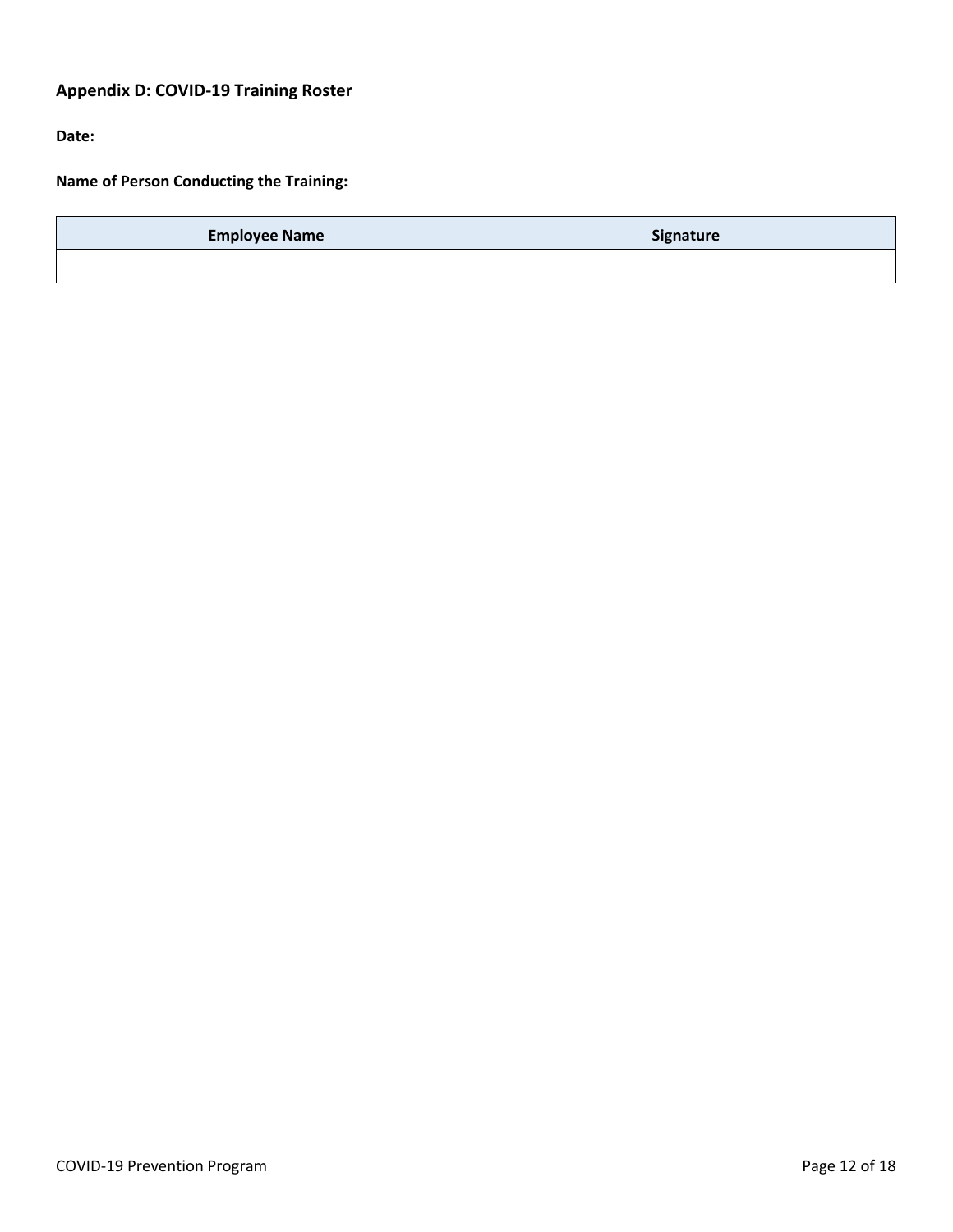# **Appendix D: COVID-19 Training Roster**

**Date:**

**Name of Person Conducting the Training:**

| <b>Employee Name</b> | Signature |
|----------------------|-----------|
|                      |           |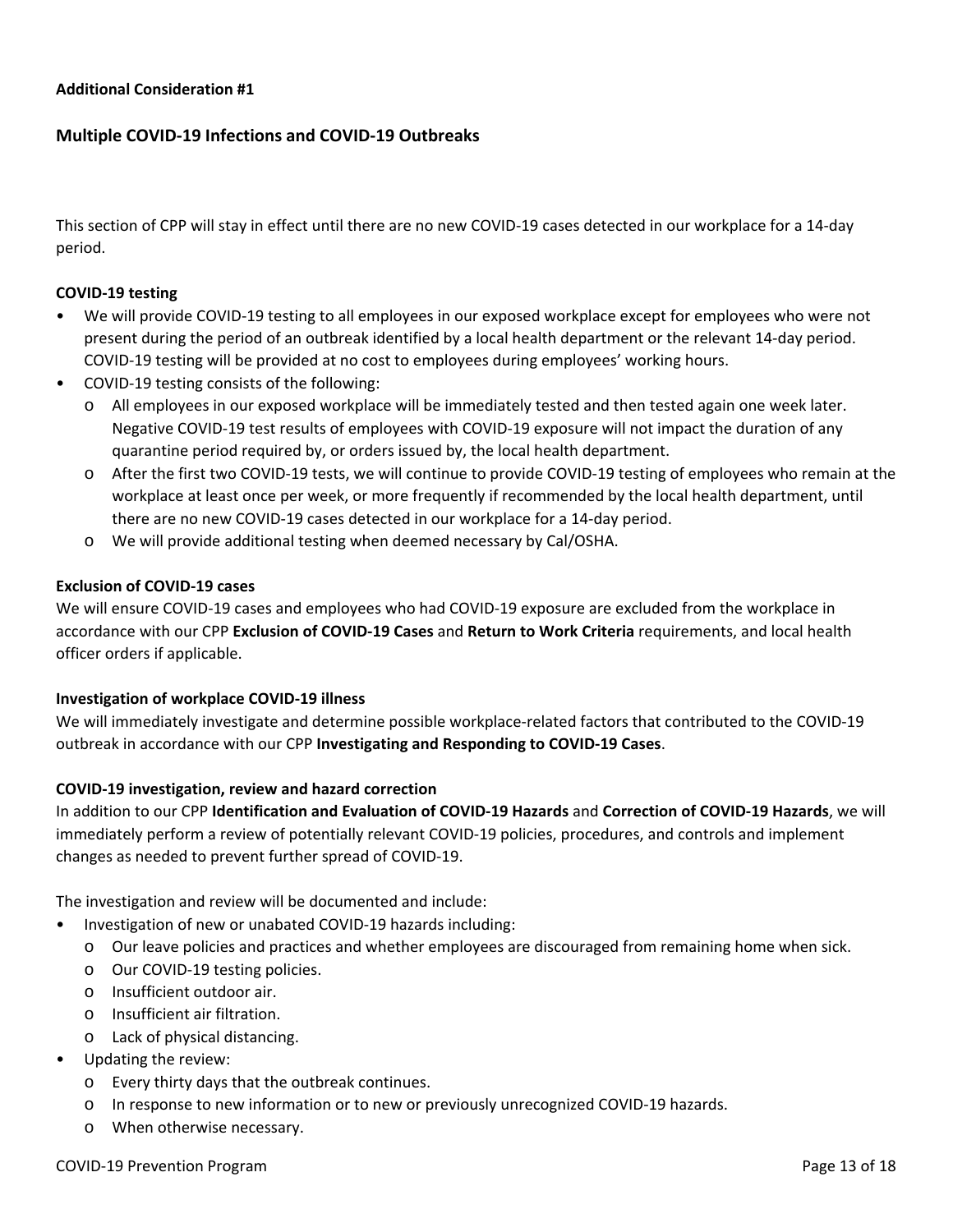## **Multiple COVID-19 Infections and COVID-19 Outbreaks**

This section of CPP will stay in effect until there are no new COVID-19 cases detected in our workplace for a 14-day period.

#### **COVID-19 testing**

- We will provide COVID-19 testing to all employees in our exposed workplace except for employees who were not present during the period of an outbreak identified by a local health department or the relevant 14-day period. COVID-19 testing will be provided at no cost to employees during employees' working hours.
- COVID-19 testing consists of the following:
	- o All employees in our exposed workplace will be immediately tested and then tested again one week later. Negative COVID-19 test results of employees with COVID-19 exposure will not impact the duration of any quarantine period required by, or orders issued by, the local health department.
	- o After the first two COVID-19 tests, we will continue to provide COVID-19 testing of employees who remain at the workplace at least once per week, or more frequently if recommended by the local health department, until there are no new COVID-19 cases detected in our workplace for a 14-day period.
	- o We will provide additional testing when deemed necessary by Cal/OSHA.

#### **Exclusion of COVID-19 cases**

We will ensure COVID-19 cases and employees who had COVID-19 exposure are excluded from the workplace in accordance with our CPP **Exclusion of COVID-19 Cases** and **Return to Work Criteria** requirements, and local health officer orders if applicable.

#### **Investigation of workplace COVID-19 illness**

We will immediately investigate and determine possible workplace-related factors that contributed to the COVID-19 outbreak in accordance with our CPP **Investigating and Responding to COVID-19 Cases**.

#### **COVID-19 investigation, review and hazard correction**

In addition to our CPP **Identification and Evaluation of COVID-19 Hazards** and **Correction of COVID-19 Hazards**, we will immediately perform a review of potentially relevant COVID-19 policies, procedures, and controls and implement changes as needed to prevent further spread of COVID-19.

The investigation and review will be documented and include:

- Investigation of new or unabated COVID-19 hazards including:
	- o Our leave policies and practices and whether employees are discouraged from remaining home when sick.
	- o Our COVID-19 testing policies.
	- o Insufficient outdoor air.
	- o Insufficient air filtration.
	- o Lack of physical distancing.
- Updating the review:
	- o Every thirty days that the outbreak continues.
	- o In response to new information or to new or previously unrecognized COVID-19 hazards.
	- o When otherwise necessary.

#### COVID-19 Prevention Program **Page 13 of 18** and the covid-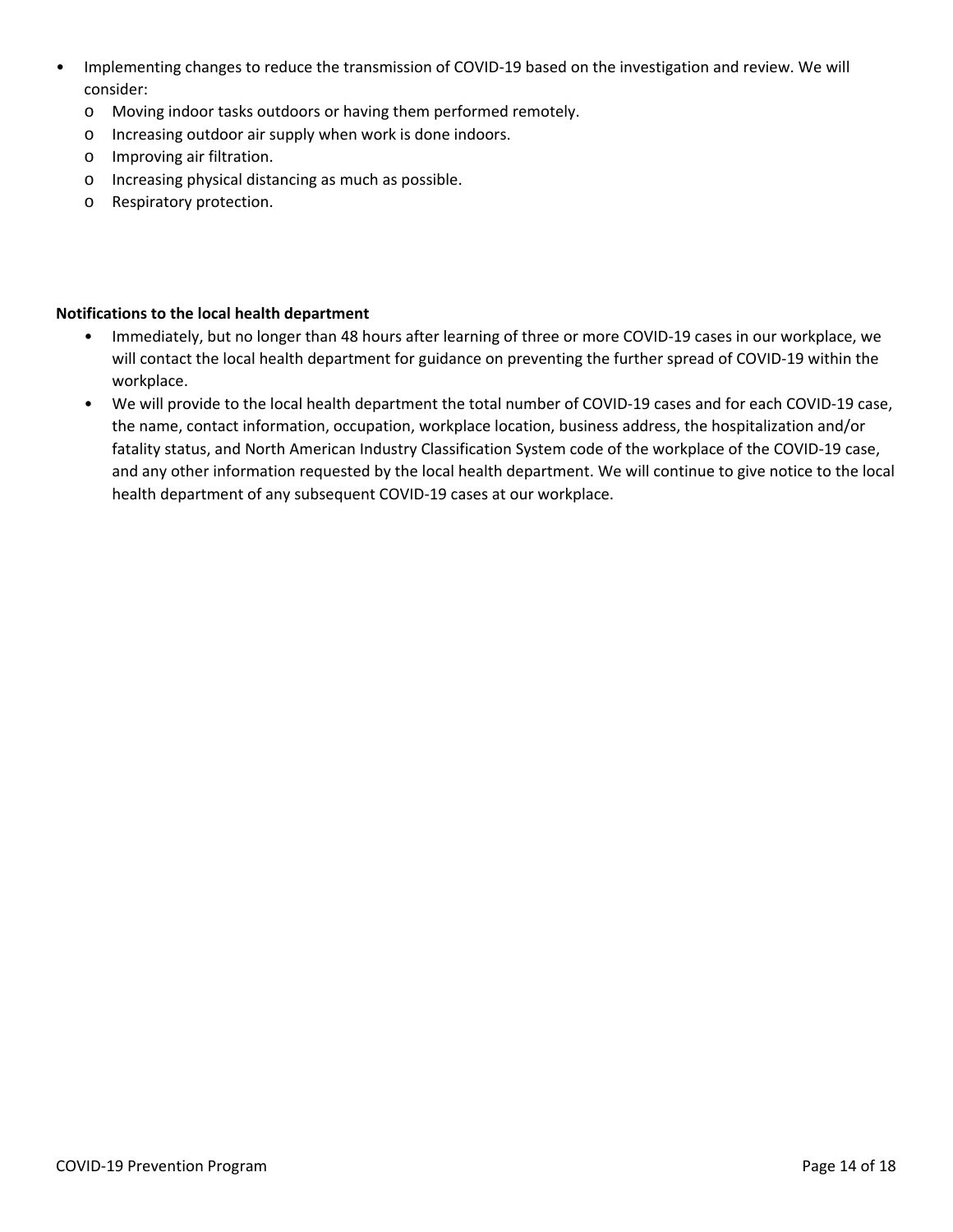- Implementing changes to reduce the transmission of COVID-19 based on the investigation and review. We will consider:
	- o Moving indoor tasks outdoors or having them performed remotely.
	- o Increasing outdoor air supply when work is done indoors.
	- o Improving air filtration.
	- o Increasing physical distancing as much as possible.
	- o Respiratory protection.

#### **Notifications to the local health department**

- Immediately, but no longer than 48 hours after learning of three or more COVID-19 cases in our workplace, we will contact the local health department for guidance on preventing the further spread of COVID-19 within the workplace.
- We will provide to the local health department the total number of COVID-19 cases and for each COVID-19 case, the name, contact information, occupation, workplace location, business address, the hospitalization and/or fatality status, and North American Industry Classification System code of the workplace of the COVID-19 case, and any other information requested by the local health department. We will continue to give notice to the local health department of any subsequent COVID-19 cases at our workplace.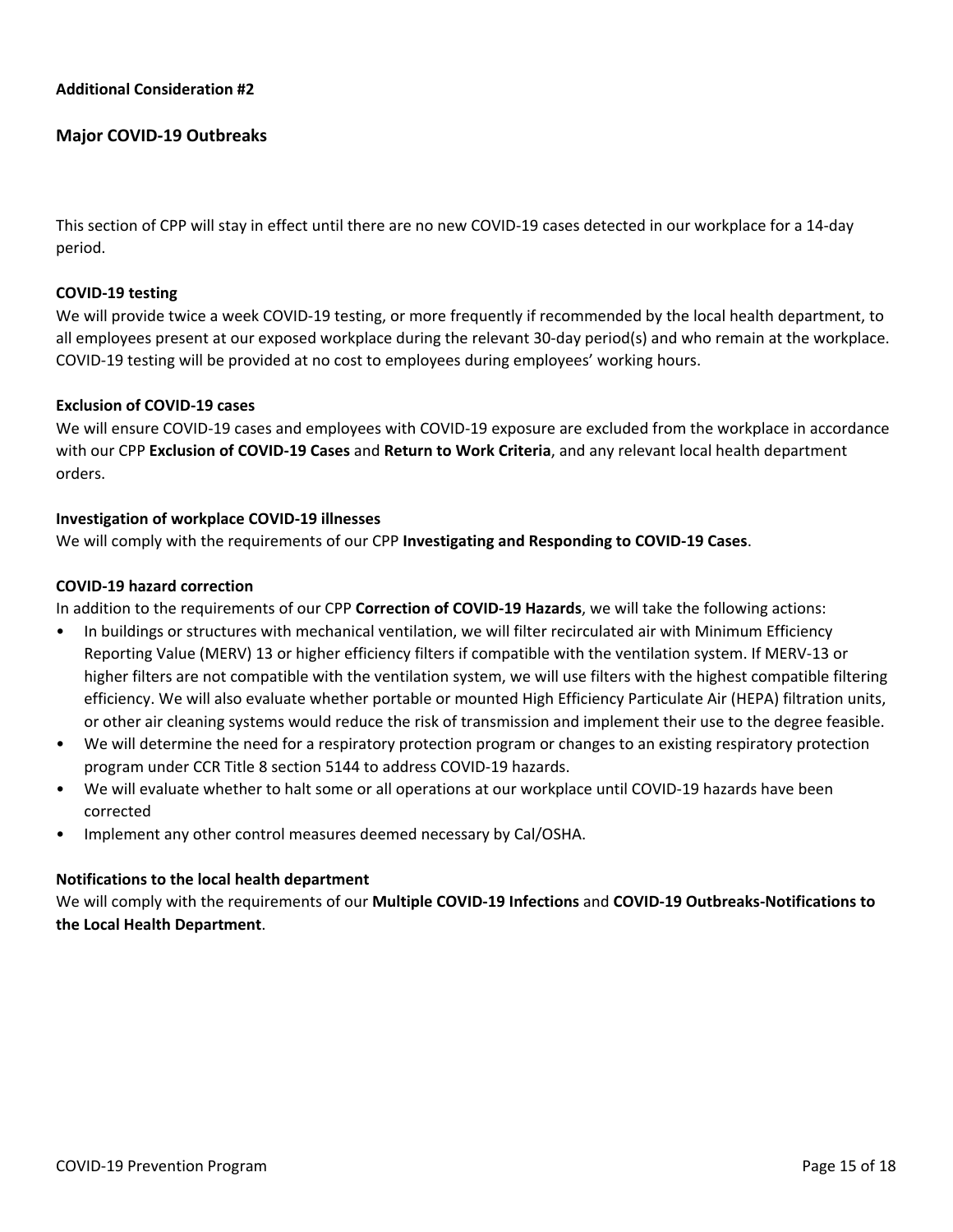## **Major COVID-19 Outbreaks**

This section of CPP will stay in effect until there are no new COVID-19 cases detected in our workplace for a 14-day period.

#### **COVID-19 testing**

We will provide twice a week COVID-19 testing, or more frequently if recommended by the local health department, to all employees present at our exposed workplace during the relevant 30-day period(s) and who remain at the workplace. COVID-19 testing will be provided at no cost to employees during employees' working hours.

#### **Exclusion of COVID-19 cases**

We will ensure COVID-19 cases and employees with COVID-19 exposure are excluded from the workplace in accordance with our CPP **Exclusion of COVID-19 Cases** and **Return to Work Criteria**, and any relevant local health department orders.

#### **Investigation of workplace COVID-19 illnesses**

We will comply with the requirements of our CPP **Investigating and Responding to COVID-19 Cases**.

#### **COVID-19 hazard correction**

In addition to the requirements of our CPP **Correction of COVID-19 Hazards**, we will take the following actions:

- In buildings or structures with mechanical ventilation, we will filter recirculated air with Minimum Efficiency Reporting Value (MERV) 13 or higher efficiency filters if compatible with the ventilation system. If MERV-13 or higher filters are not compatible with the ventilation system, we will use filters with the highest compatible filtering efficiency. We will also evaluate whether portable or mounted High Efficiency Particulate Air (HEPA) filtration units, or other air cleaning systems would reduce the risk of transmission and implement their use to the degree feasible.
- We will determine the need for a respiratory protection program or changes to an existing respiratory protection program under CCR Title 8 section 5144 to address COVID-19 hazards.
- We will evaluate whether to halt some or all operations at our workplace until COVID-19 hazards have been corrected
- Implement any other control measures deemed necessary by Cal/OSHA.

#### **Notifications to the local health department**

We will comply with the requirements of our **Multiple COVID-19 Infections** and **COVID-19 Outbreaks-Notifications to the Local Health Department**.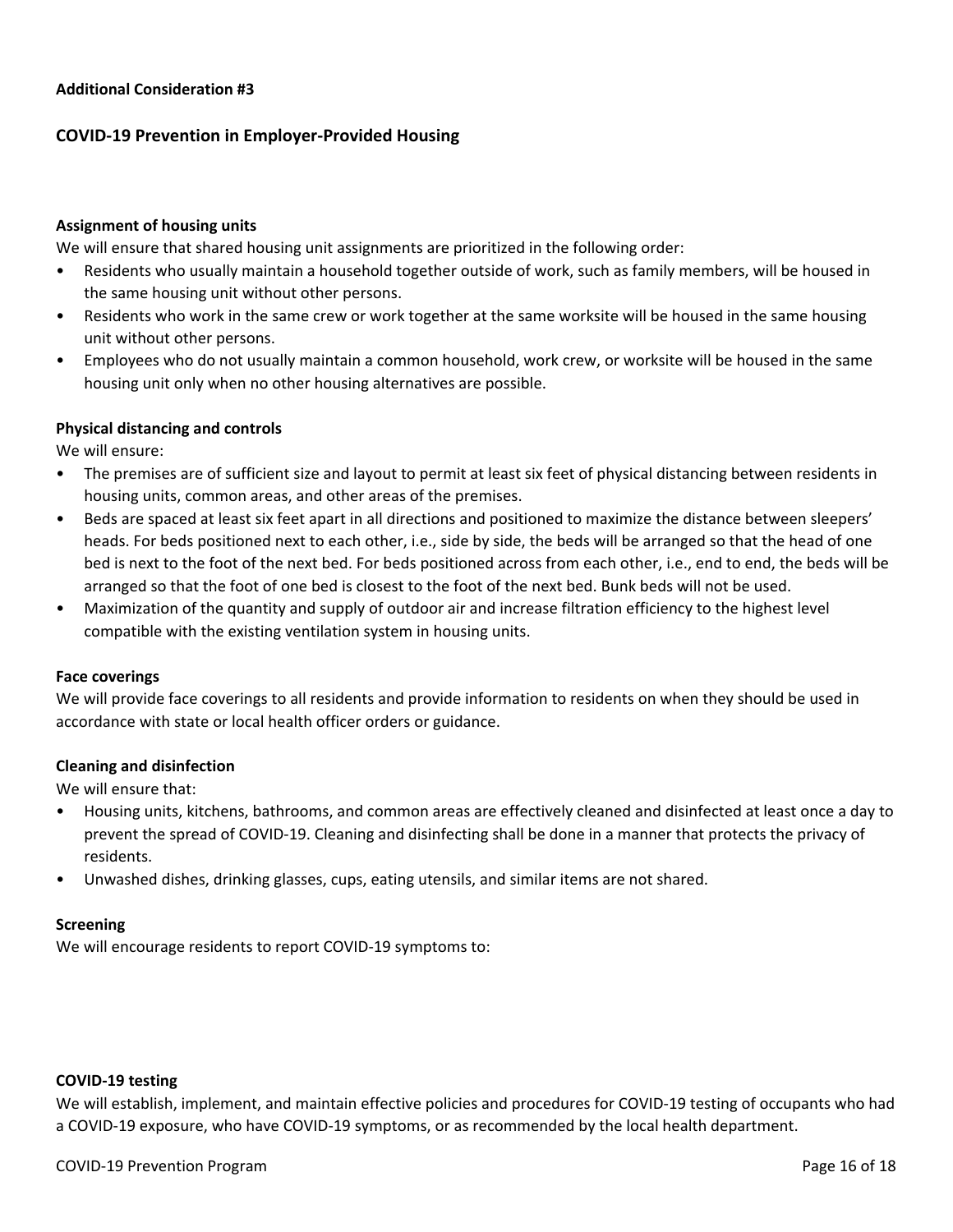# **COVID-19 Prevention in Employer-Provided Housing**

#### **Assignment of housing units**

We will ensure that shared housing unit assignments are prioritized in the following order:

- Residents who usually maintain a household together outside of work, such as family members, will be housed in the same housing unit without other persons.
- Residents who work in the same crew or work together at the same worksite will be housed in the same housing unit without other persons.
- Employees who do not usually maintain a common household, work crew, or worksite will be housed in the same housing unit only when no other housing alternatives are possible.

#### **Physical distancing and controls**

We will ensure:

- The premises are of sufficient size and layout to permit at least six feet of physical distancing between residents in housing units, common areas, and other areas of the premises.
- Beds are spaced at least six feet apart in all directions and positioned to maximize the distance between sleepers' heads. For beds positioned next to each other, i.e., side by side, the beds will be arranged so that the head of one bed is next to the foot of the next bed. For beds positioned across from each other, i.e., end to end, the beds will be arranged so that the foot of one bed is closest to the foot of the next bed. Bunk beds will not be used.
- Maximization of the quantity and supply of outdoor air and increase filtration efficiency to the highest level compatible with the existing ventilation system in housing units.

#### **Face coverings**

We will provide face coverings to all residents and provide information to residents on when they should be used in accordance with state or local health officer orders or guidance.

#### **Cleaning and disinfection**

We will ensure that:

- Housing units, kitchens, bathrooms, and common areas are effectively cleaned and disinfected at least once a day to prevent the spread of COVID-19. Cleaning and disinfecting shall be done in a manner that protects the privacy of residents.
- Unwashed dishes, drinking glasses, cups, eating utensils, and similar items are not shared.

#### **Screening**

We will encourage residents to report COVID-19 symptoms to:

#### **COVID-19 testing**

We will establish, implement, and maintain effective policies and procedures for COVID-19 testing of occupants who had a COVID-19 exposure, who have COVID-19 symptoms, or as recommended by the local health department.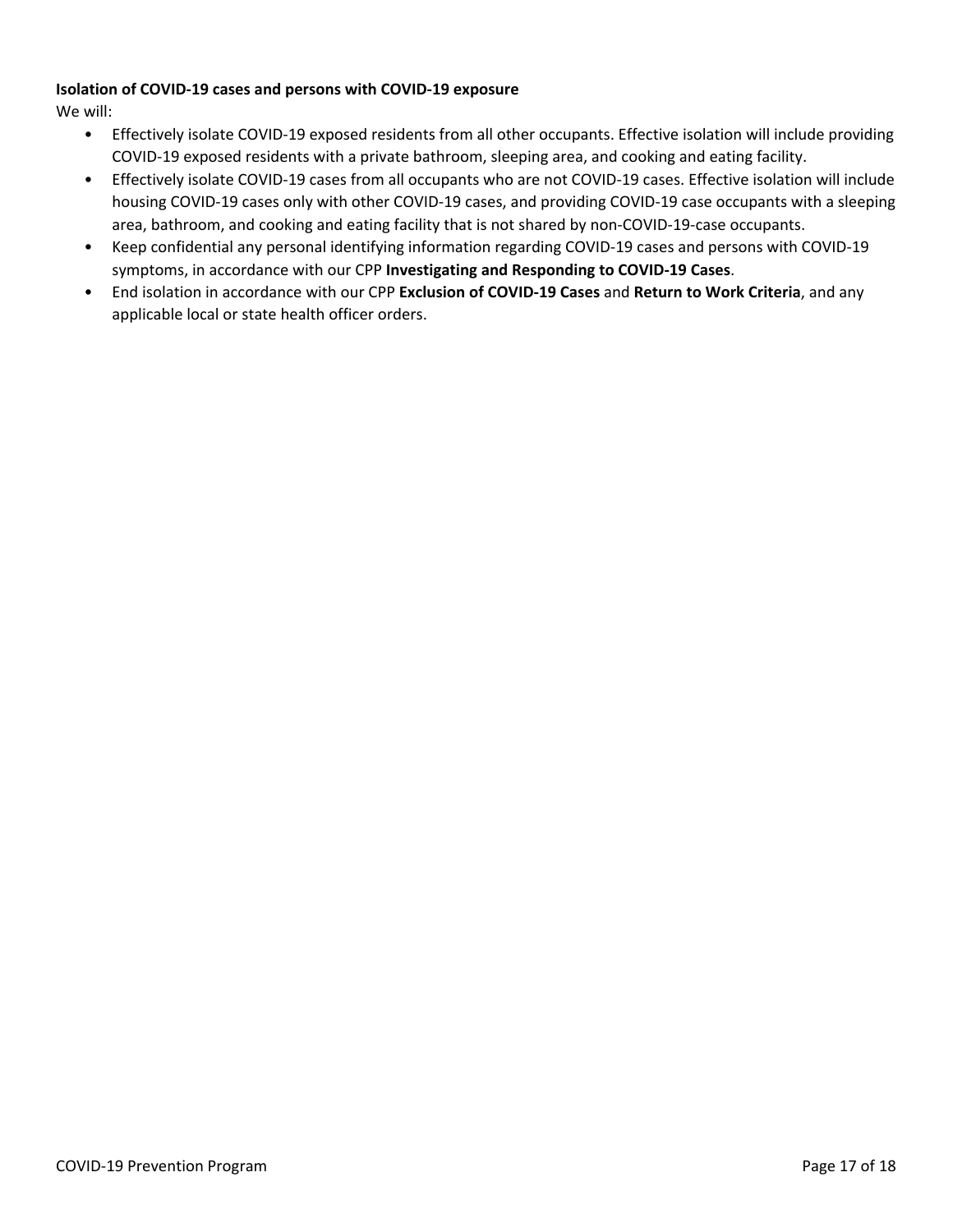## **Isolation of COVID-19 cases and persons with COVID-19 exposure**

We will:

- Effectively isolate COVID-19 exposed residents from all other occupants. Effective isolation will include providing COVID-19 exposed residents with a private bathroom, sleeping area, and cooking and eating facility.
- Effectively isolate COVID-19 cases from all occupants who are not COVID-19 cases. Effective isolation will include housing COVID-19 cases only with other COVID-19 cases, and providing COVID-19 case occupants with a sleeping area, bathroom, and cooking and eating facility that is not shared by non-COVID-19-case occupants.
- Keep confidential any personal identifying information regarding COVID-19 cases and persons with COVID-19 symptoms, in accordance with our CPP **Investigating and Responding to COVID-19 Cases**.
- End isolation in accordance with our CPP **Exclusion of COVID-19 Cases** and **Return to Work Criteria**, and any applicable local or state health officer orders.